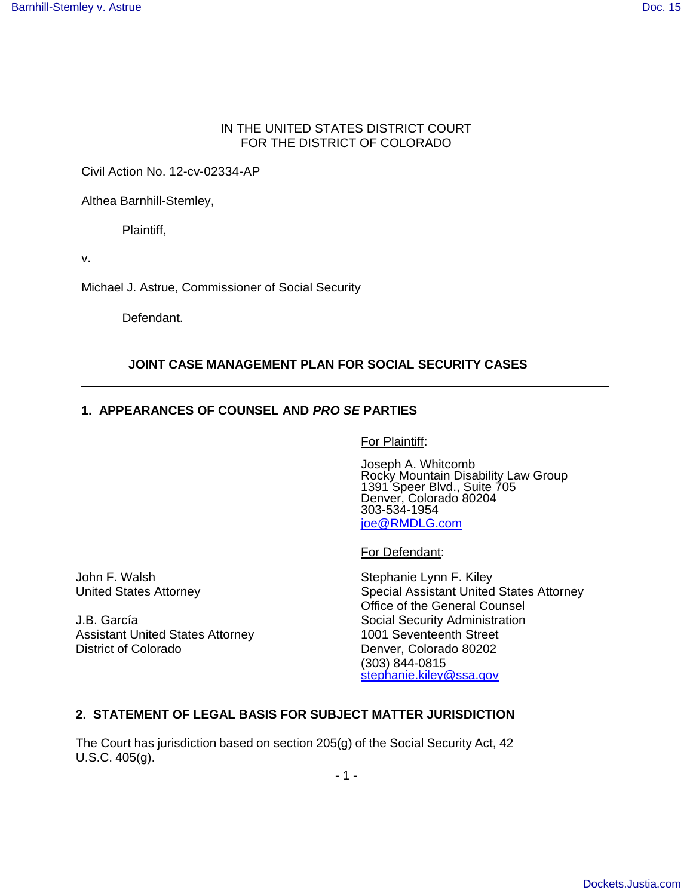## IN THE UNITED STATES DISTRICT COURT FOR THE DISTRICT OF COLORADO

Civil Action No. 12-cv-02334-AP

Althea Barnhill-Stemley,

Plaintiff,

v.

Michael J. Astrue, Commissioner of Social Security

Defendant.

#### **JOINT CASE MANAGEMENT PLAN FOR SOCIAL SECURITY CASES**

# **1. APPEARANCES OF COUNSEL AND PRO SE PARTIES**

For Plaintiff:

 Joseph A. Whitcomb Rocky Mountain Disability Law Group 1391 Speer Blvd., Suite 705 Denver, Colorado 80204 303-534-1954 joe@RMDLG.com

For Defendant:

John F. Walsh Stephanie Lynn F. Kiley

Assistant United States Attorney 1001 Seventeenth Street District of Colorado **Denver, Colorado 80202** 

United States Attorney **Special Assistant United States Attorney** Office of the General Counsel J.B. García **Social Security Administration** Social Security Administration (303) 844-0815 stephanie.kiley@ssa.gov

#### **2. STATEMENT OF LEGAL BASIS FOR SUBJECT MATTER JURISDICTION**

The Court has jurisdiction based on section 205(g) of the Social Security Act, 42 U.S.C. 405(g).

- 1 -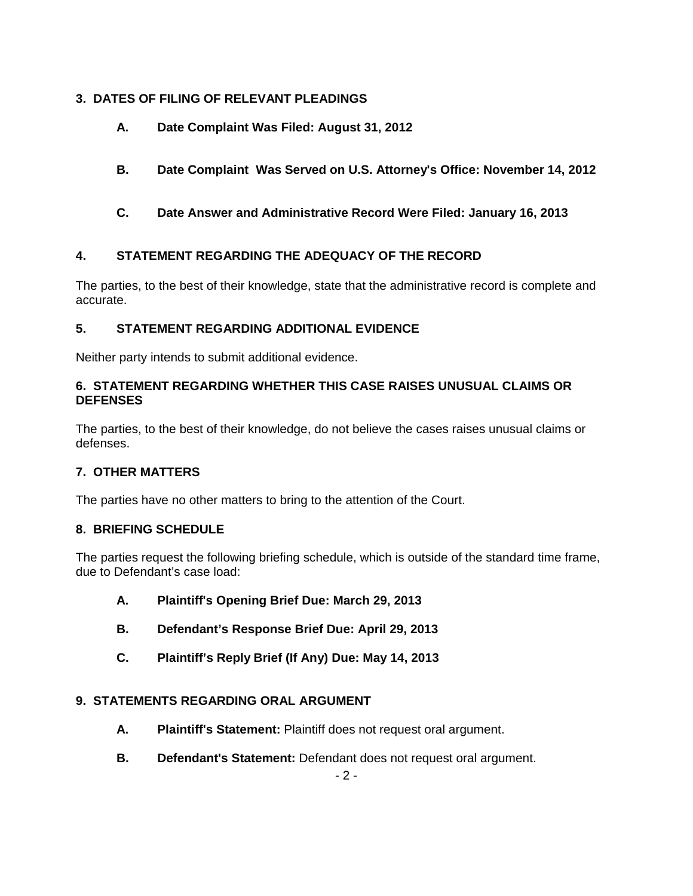# **3. DATES OF FILING OF RELEVANT PLEADINGS**

- **A. Date Complaint Was Filed: August 31, 2012**
- **B. Date Complaint Was Served on U.S. Attorney's Office: November 14, 2012**
- **C. Date Answer and Administrative Record Were Filed: January 16, 2013**

# **4. STATEMENT REGARDING THE ADEQUACY OF THE RECORD**

The parties, to the best of their knowledge, state that the administrative record is complete and accurate.

# **5. STATEMENT REGARDING ADDITIONAL EVIDENCE**

Neither party intends to submit additional evidence.

# **6. STATEMENT REGARDING WHETHER THIS CASE RAISES UNUSUAL CLAIMS OR DEFENSES**

The parties, to the best of their knowledge, do not believe the cases raises unusual claims or defenses.

# **7. OTHER MATTERS**

The parties have no other matters to bring to the attention of the Court.

# **8. BRIEFING SCHEDULE**

The parties request the following briefing schedule, which is outside of the standard time frame, due to Defendant's case load:

- **A. Plaintiff's Opening Brief Due: March 29, 2013**
- **B. Defendant's Response Brief Due: April 29, 2013**
- **C. Plaintiff's Reply Brief (If Any) Due: May 14, 2013**

# **9. STATEMENTS REGARDING ORAL ARGUMENT**

- **A. Plaintiff's Statement:** Plaintiff does not request oral argument.
- **B. Defendant's Statement:** Defendant does not request oral argument.

 $-2-$